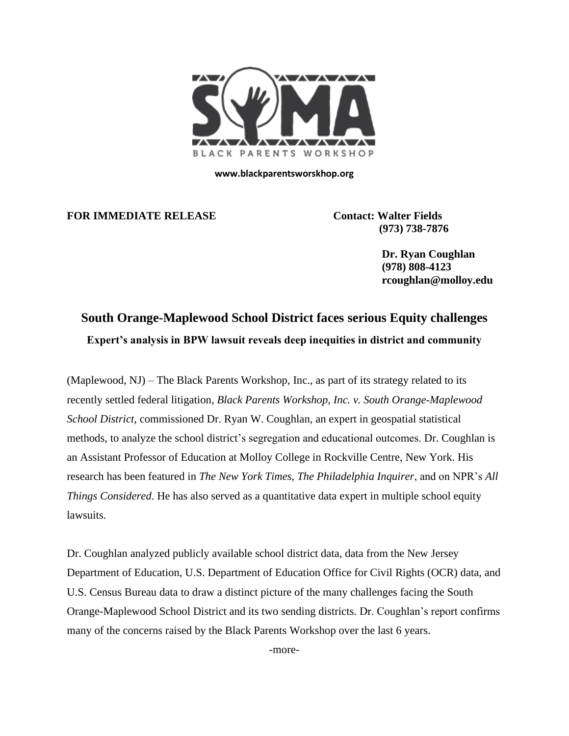

**www.blackparentsworskhop.org**

**FOR IMMEDIATE RELEASE Contact: Walter Fields** 

 **(973) 738-7876**

 **Dr. Ryan Coughlan (978) 808-4123 rcoughlan@molloy.edu**

# **South Orange-Maplewood School District faces serious Equity challenges Expert's analysis in BPW lawsuit reveals deep inequities in district and community**

(Maplewood, NJ) – The Black Parents Workshop, Inc., as part of its strategy related to its recently settled federal litigation, *Black Parents Workshop, Inc. v. South Orange-Maplewood School District*, commissioned Dr. Ryan W. Coughlan, an expert in geospatial statistical methods, to analyze the school district's segregation and educational outcomes. Dr. Coughlan is an Assistant Professor of Education at Molloy College in Rockville Centre, New York. His research has been featured in *The New York Times*, *The Philadelphia Inquirer*, and on NPR's *All Things Considered*. He has also served as a quantitative data expert in multiple school equity lawsuits.

Dr. Coughlan analyzed publicly available school district data, data from the New Jersey Department of Education, U.S. Department of Education Office for Civil Rights (OCR) data, and U.S. Census Bureau data to draw a distinct picture of the many challenges facing the South Orange-Maplewood School District and its two sending districts. Dr. Coughlan's report confirms many of the concerns raised by the Black Parents Workshop over the last 6 years.

-more-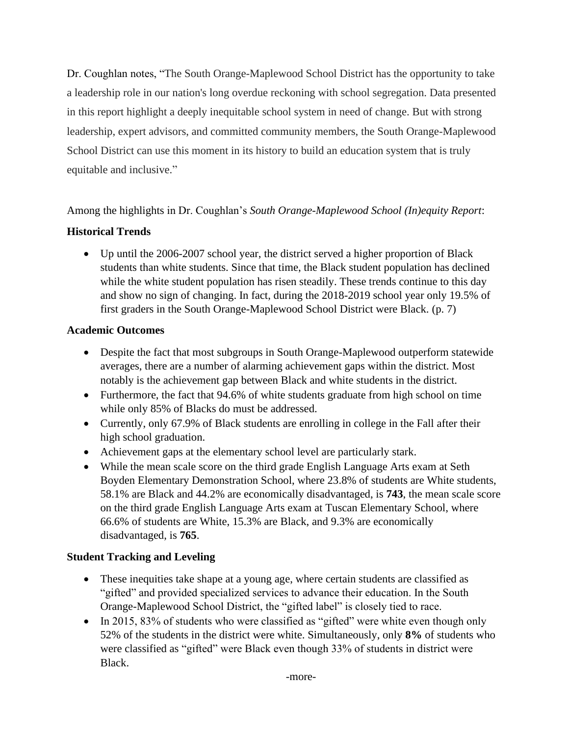Dr. Coughlan notes, "The South Orange-Maplewood School District has the opportunity to take a leadership role in our nation's long overdue reckoning with school segregation. Data presented in this report highlight a deeply inequitable school system in need of change. But with strong leadership, expert advisors, and committed community members, the South Orange-Maplewood School District can use this moment in its history to build an education system that is truly equitable and inclusive."

## Among the highlights in Dr. Coughlan's *South Orange-Maplewood School (In)equity Report*:

## **Historical Trends**

• Up until the 2006-2007 school year, the district served a higher proportion of Black students than white students. Since that time, the Black student population has declined while the white student population has risen steadily. These trends continue to this day and show no sign of changing. In fact, during the 2018-2019 school year only 19.5% of first graders in the South Orange-Maplewood School District were Black. (p. 7)

## **Academic Outcomes**

- Despite the fact that most subgroups in South Orange-Maplewood outperform statewide averages, there are a number of alarming achievement gaps within the district. Most notably is the achievement gap between Black and white students in the district.
- Furthermore, the fact that 94.6% of white students graduate from high school on time while only 85% of Blacks do must be addressed.
- Currently, only 67.9% of Black students are enrolling in college in the Fall after their high school graduation.
- Achievement gaps at the elementary school level are particularly stark.
- While the mean scale score on the third grade English Language Arts exam at Seth Boyden Elementary Demonstration School, where 23.8% of students are White students, 58.1% are Black and 44.2% are economically disadvantaged, is **743**, the mean scale score on the third grade English Language Arts exam at Tuscan Elementary School, where 66.6% of students are White, 15.3% are Black, and 9.3% are economically disadvantaged, is **765**.

## **Student Tracking and Leveling**

- These inequities take shape at a young age, where certain students are classified as "gifted" and provided specialized services to advance their education. In the South Orange-Maplewood School District, the "gifted label" is closely tied to race.
- In 2015, 83% of students who were classified as "gifted" were white even though only 52% of the students in the district were white. Simultaneously, only **8%** of students who were classified as "gifted" were Black even though 33% of students in district were Black.